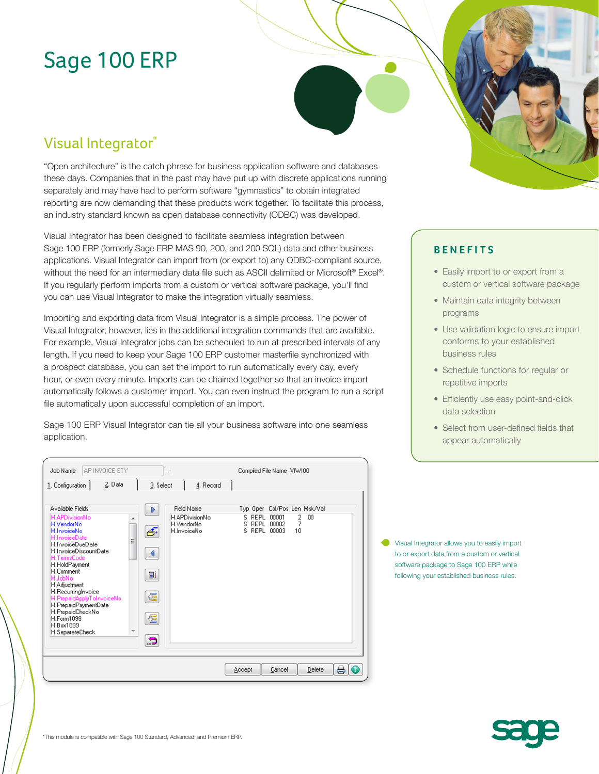# Sage 100 ERP

# Visual Integrator<sup>\*</sup>

Job Name AP INVOICE ETY

"Open architecture" is the catch phrase for business application software and databases these days. Companies that in the past may have put up with discrete applications running separately and may have had to perform software "gymnastics" to obtain integrated reporting are now demanding that these products work together. To facilitate this process, an industry standard known as open database connectivity (ODBC) was developed.

Visual Integrator has been designed to facilitate seamless integration between Sage 100 ERP (formerly Sage ERP MAS 90, 200, and 200 SQL) data and other business applications. Visual Integrator can import from (or export to) any ODBC-compliant source, without the need for an intermediary data file such as ASCII delimited or Microsoft® Excel®. If you regularly perform imports from a custom or vertical software package, you'll find you can use Visual Integrator to make the integration virtually seamless.

Importing and exporting data from Visual Integrator is a simple process. The power of Visual Integrator, however, lies in the additional integration commands that are available. For example, Visual Integrator jobs can be scheduled to run at prescribed intervals of any length. If you need to keep your Sage 100 ERP customer masterfile synchronized with a prospect database, you can set the import to run automatically every day, every hour, or even every minute. Imports can be chained together so that an invoice import automatically follows a customer import. You can even instruct the program to run a script file automatically upon successful completion of an import.

Sage 100 ERP Visual Integrator can tie all your business software into one seamless application.

Compiled File Name VIW100

#### **BENEFITS**

- Easily import to or export from a custom or vertical software package
- Maintain data integrity between programs
- Use validation logic to ensure import conforms to your established business rules
- Schedule functions for regular or repetitive imports
- Efficiently use easy point-and-click data selection
- Select from user-defined fields that appear automatically

2. Data 1. Configuration | 3. Select  $4.$  Record Available Fields ۱ Field Name Typ Oper Col/Pos Len Msk/Val H.APDivisionNo S REPL 00001  $00$  $\frac{2}{7}$  $\overline{\phantom{a}}$ H.VendorNo H.VendorNo š REPL 00002 H.InvoiceNo ණි H.InvoiceNo S REPL 00003  $10$ H.InvoiceDueDate H.InvoiceDiscountDate  $\blacktriangleleft$ H.HoldPayment H.Comment i bi H Adjustment H.RecurringInvoice 偓 eNo H.PrepaidPaymentDate H.PrepaidCheckNo 偓 H. Form1099 H.Box1099 H.SeparateCheck 5  $\bigoplus$ Accept Cancel Delete

Visual Integrator allows you to easily import to or export data from a custom or vertical software package to Sage 100 ERP while following your established business rules.